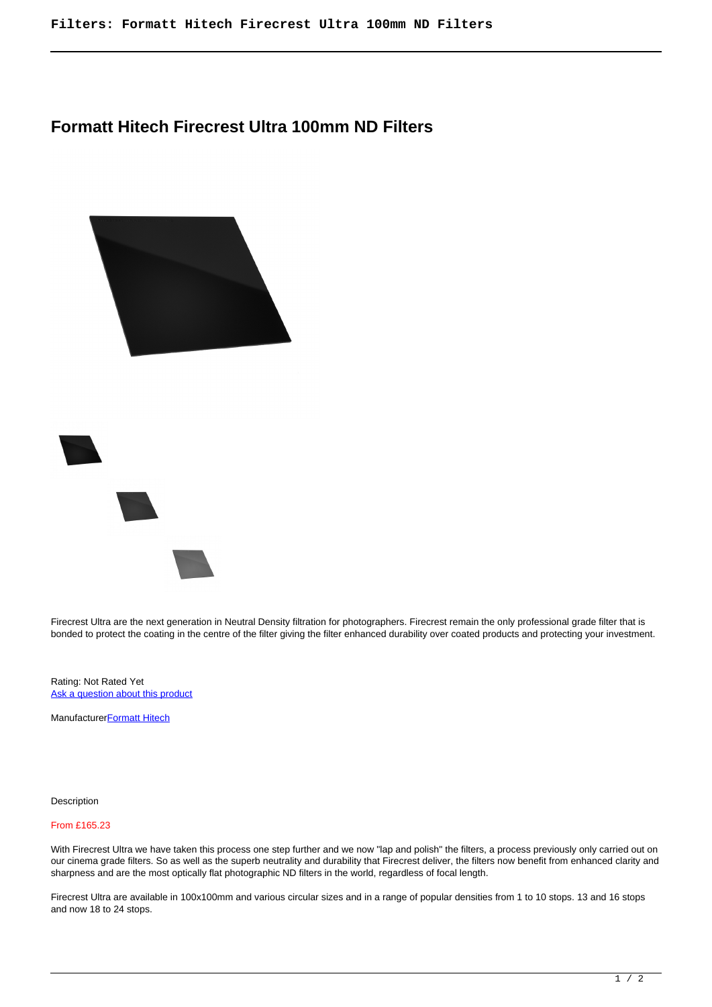## **Formatt Hitech Firecrest Ultra 100mm ND Filters**





Firecrest Ultra are the next generation in Neutral Density filtration for photographers. Firecrest remain the only professional grade filter that is bonded to protect the coating in the centre of the filter giving the filter enhanced durability over coated products and protecting your investment.

Rating: Not Rated Yet [Ask a question about this product](https://cameraplusni.co.uk/index.php?option=com_virtuemart&view=productdetails&task=askquestion&virtuemart_product_id=482&virtuemart_category_id=247&tmpl=component)

Manufacturer**[Formatt Hitech](https://cameraplusni.co.uk/index.php?option=com_virtuemart&view=manufacturer&virtuemart_manufacturer_id=35&tmpl=component)** 

Description

## From £165.23

With Firecrest Ultra we have taken this process one step further and we now "lap and polish" the filters, a process previously only carried out on our cinema grade filters. So as well as the superb neutrality and durability that Firecrest deliver, the filters now benefit from enhanced clarity and sharpness and are the most optically flat photographic ND filters in the world, regardless of focal length.

Firecrest Ultra are available in 100x100mm and various circular sizes and in a range of popular densities from 1 to 10 stops. 13 and 16 stops and now 18 to 24 stops.